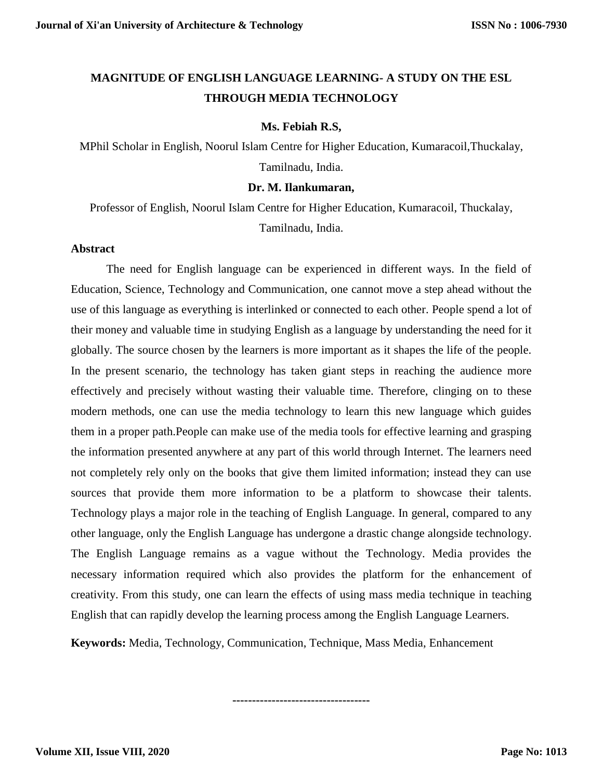# **MAGNITUDE OF ENGLISH LANGUAGE LEARNING- A STUDY ON THE ESL THROUGH MEDIA TECHNOLOGY**

## **Ms. Febiah R.S,**

MPhil Scholar in English, Noorul Islam Centre for Higher Education, Kumaracoil,Thuckalay, Tamilnadu, India.

## **Dr. M. Ilankumaran,**

Professor of English, Noorul Islam Centre for Higher Education, Kumaracoil, Thuckalay, Tamilnadu, India.

## **Abstract**

The need for English language can be experienced in different ways. In the field of Education, Science, Technology and Communication, one cannot move a step ahead without the use of this language as everything is interlinked or connected to each other. People spend a lot of their money and valuable time in studying English as a language by understanding the need for it globally. The source chosen by the learners is more important as it shapes the life of the people. In the present scenario, the technology has taken giant steps in reaching the audience more effectively and precisely without wasting their valuable time. Therefore, clinging on to these modern methods, one can use the media technology to learn this new language which guides them in a proper path.People can make use of the media tools for effective learning and grasping the information presented anywhere at any part of this world through Internet. The learners need not completely rely only on the books that give them limited information; instead they can use sources that provide them more information to be a platform to showcase their talents. Technology plays a major role in the teaching of English Language. In general, compared to any other language, only the English Language has undergone a drastic change alongside technology. The English Language remains as a vague without the Technology. Media provides the necessary information required which also provides the platform for the enhancement of creativity. From this study, one can learn the effects of using mass media technique in teaching English that can rapidly develop the learning process among the English Language Learners.

**Keywords:** Media, Technology, Communication, Technique, Mass Media, Enhancement

**-----------------------------------**

**Volume XII, Issue VIII, 2020**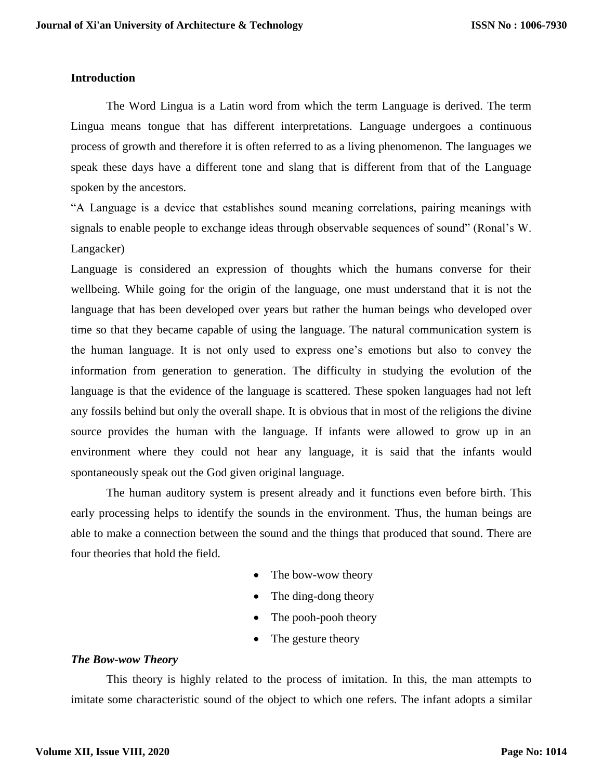# **Introduction**

The Word Lingua is a Latin word from which the term Language is derived. The term Lingua means tongue that has different interpretations. Language undergoes a continuous process of growth and therefore it is often referred to as a living phenomenon. The languages we speak these days have a different tone and slang that is different from that of the Language spoken by the ancestors.

"A Language is a device that establishes sound meaning correlations, pairing meanings with signals to enable people to exchange ideas through observable sequences of sound" (Ronal's W. Langacker)

Language is considered an expression of thoughts which the humans converse for their wellbeing. While going for the origin of the language, one must understand that it is not the language that has been developed over years but rather the human beings who developed over time so that they became capable of using the language. The natural communication system is the human language. It is not only used to express one's emotions but also to convey the information from generation to generation. The difficulty in studying the evolution of the language is that the evidence of the language is scattered. These spoken languages had not left any fossils behind but only the overall shape. It is obvious that in most of the religions the divine source provides the human with the language. If infants were allowed to grow up in an environment where they could not hear any language, it is said that the infants would spontaneously speak out the God given original language.

The human auditory system is present already and it functions even before birth. This early processing helps to identify the sounds in the environment. Thus, the human beings are able to make a connection between the sound and the things that produced that sound. There are four theories that hold the field.

- The bow-wow theory
- The ding-dong theory
- The pooh-pooh theory
- The gesture theory

# *The Bow-wow Theory*

This theory is highly related to the process of imitation. In this, the man attempts to imitate some characteristic sound of the object to which one refers. The infant adopts a similar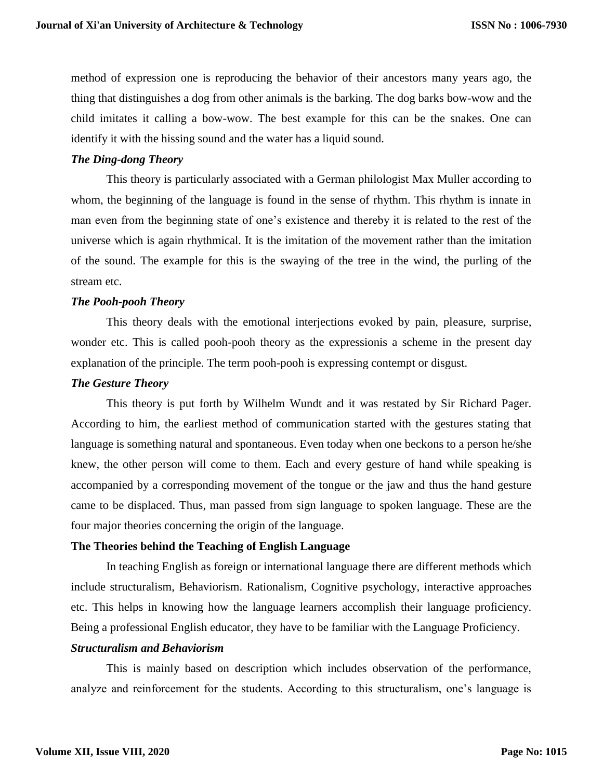method of expression one is reproducing the behavior of their ancestors many years ago, the thing that distinguishes a dog from other animals is the barking. The dog barks bow-wow and the child imitates it calling a bow-wow. The best example for this can be the snakes. One can identify it with the hissing sound and the water has a liquid sound.

## *The Ding-dong Theory*

This theory is particularly associated with a German philologist Max Muller according to whom, the beginning of the language is found in the sense of rhythm. This rhythm is innate in man even from the beginning state of one's existence and thereby it is related to the rest of the universe which is again rhythmical. It is the imitation of the movement rather than the imitation of the sound. The example for this is the swaying of the tree in the wind, the purling of the stream etc.

#### *The Pooh-pooh Theory*

This theory deals with the emotional interjections evoked by pain, pleasure, surprise, wonder etc. This is called pooh-pooh theory as the expressionis a scheme in the present day explanation of the principle. The term pooh-pooh is expressing contempt or disgust.

#### *The Gesture Theory*

This theory is put forth by Wilhelm Wundt and it was restated by Sir Richard Pager. According to him, the earliest method of communication started with the gestures stating that language is something natural and spontaneous. Even today when one beckons to a person he/she knew, the other person will come to them. Each and every gesture of hand while speaking is accompanied by a corresponding movement of the tongue or the jaw and thus the hand gesture came to be displaced. Thus, man passed from sign language to spoken language. These are the four major theories concerning the origin of the language.

# **The Theories behind the Teaching of English Language**

In teaching English as foreign or international language there are different methods which include structuralism, Behaviorism. Rationalism, Cognitive psychology, interactive approaches etc. This helps in knowing how the language learners accomplish their language proficiency. Being a professional English educator, they have to be familiar with the Language Proficiency.

#### *Structuralism and Behaviorism*

This is mainly based on description which includes observation of the performance, analyze and reinforcement for the students. According to this structuralism, one's language is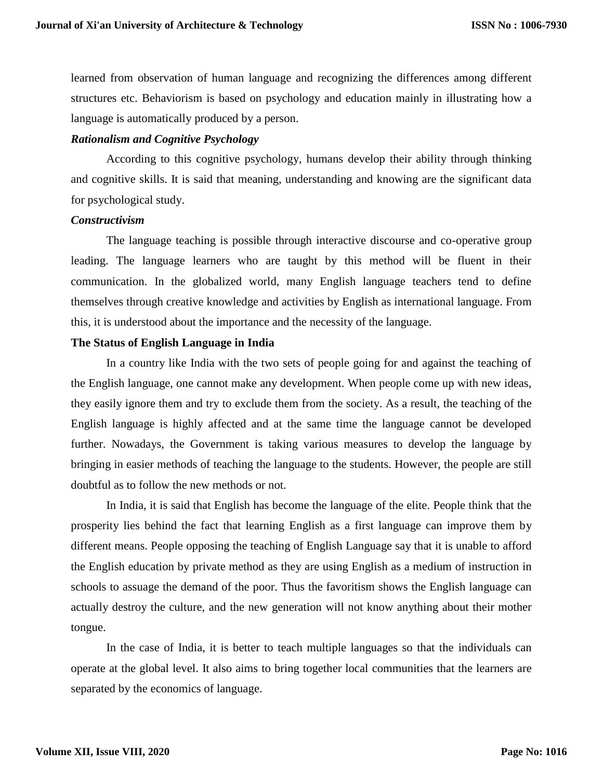learned from observation of human language and recognizing the differences among different structures etc. Behaviorism is based on psychology and education mainly in illustrating how a language is automatically produced by a person.

#### *Rationalism and Cognitive Psychology*

According to this cognitive psychology, humans develop their ability through thinking and cognitive skills. It is said that meaning, understanding and knowing are the significant data for psychological study.

#### *Constructivism*

The language teaching is possible through interactive discourse and co-operative group leading. The language learners who are taught by this method will be fluent in their communication. In the globalized world, many English language teachers tend to define themselves through creative knowledge and activities by English as international language. From this, it is understood about the importance and the necessity of the language.

## **The Status of English Language in India**

In a country like India with the two sets of people going for and against the teaching of the English language, one cannot make any development. When people come up with new ideas, they easily ignore them and try to exclude them from the society. As a result, the teaching of the English language is highly affected and at the same time the language cannot be developed further. Nowadays, the Government is taking various measures to develop the language by bringing in easier methods of teaching the language to the students. However, the people are still doubtful as to follow the new methods or not.

In India, it is said that English has become the language of the elite. People think that the prosperity lies behind the fact that learning English as a first language can improve them by different means. People opposing the teaching of English Language say that it is unable to afford the English education by private method as they are using English as a medium of instruction in schools to assuage the demand of the poor. Thus the favoritism shows the English language can actually destroy the culture, and the new generation will not know anything about their mother tongue.

In the case of India, it is better to teach multiple languages so that the individuals can operate at the global level. It also aims to bring together local communities that the learners are separated by the economics of language.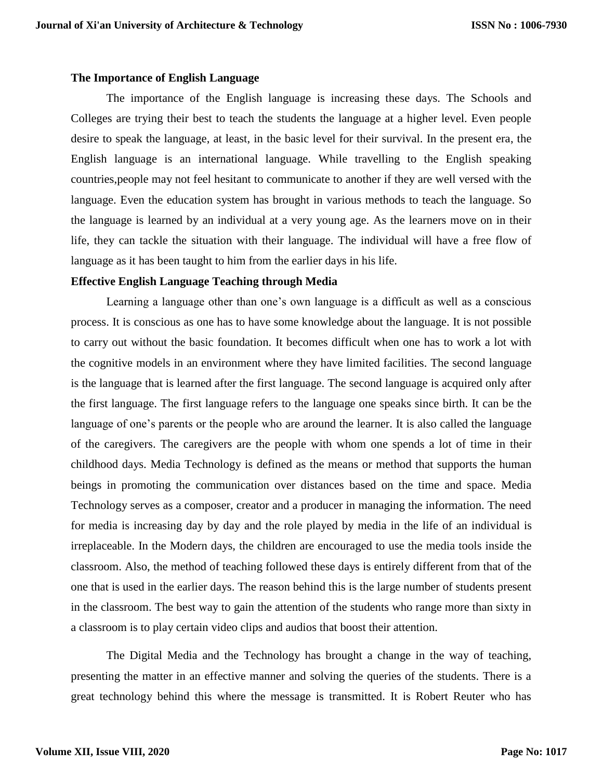#### **The Importance of English Language**

The importance of the English language is increasing these days. The Schools and Colleges are trying their best to teach the students the language at a higher level. Even people desire to speak the language, at least, in the basic level for their survival. In the present era, the English language is an international language. While travelling to the English speaking countries,people may not feel hesitant to communicate to another if they are well versed with the language. Even the education system has brought in various methods to teach the language. So the language is learned by an individual at a very young age. As the learners move on in their life, they can tackle the situation with their language. The individual will have a free flow of language as it has been taught to him from the earlier days in his life.

# **Effective English Language Teaching through Media**

Learning a language other than one's own language is a difficult as well as a conscious process. It is conscious as one has to have some knowledge about the language. It is not possible to carry out without the basic foundation. It becomes difficult when one has to work a lot with the cognitive models in an environment where they have limited facilities. The second language is the language that is learned after the first language. The second language is acquired only after the first language. The first language refers to the language one speaks since birth. It can be the language of one's parents or the people who are around the learner. It is also called the language of the caregivers. The caregivers are the people with whom one spends a lot of time in their childhood days. Media Technology is defined as the means or method that supports the human beings in promoting the communication over distances based on the time and space. Media Technology serves as a composer, creator and a producer in managing the information. The need for media is increasing day by day and the role played by media in the life of an individual is irreplaceable. In the Modern days, the children are encouraged to use the media tools inside the classroom. Also, the method of teaching followed these days is entirely different from that of the one that is used in the earlier days. The reason behind this is the large number of students present in the classroom. The best way to gain the attention of the students who range more than sixty in a classroom is to play certain video clips and audios that boost their attention.

The Digital Media and the Technology has brought a change in the way of teaching, presenting the matter in an effective manner and solving the queries of the students. There is a great technology behind this where the message is transmitted. It is Robert Reuter who has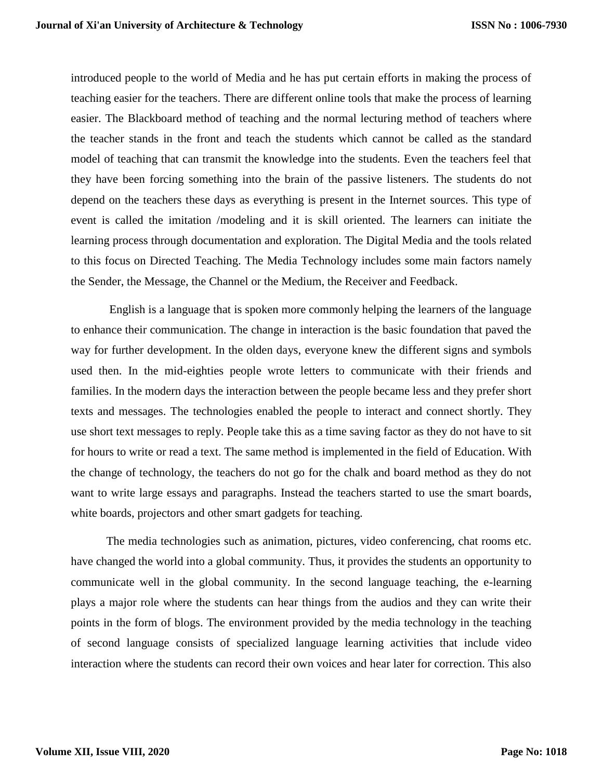introduced people to the world of Media and he has put certain efforts in making the process of teaching easier for the teachers. There are different online tools that make the process of learning easier. The Blackboard method of teaching and the normal lecturing method of teachers where the teacher stands in the front and teach the students which cannot be called as the standard model of teaching that can transmit the knowledge into the students. Even the teachers feel that they have been forcing something into the brain of the passive listeners. The students do not depend on the teachers these days as everything is present in the Internet sources. This type of event is called the imitation /modeling and it is skill oriented. The learners can initiate the learning process through documentation and exploration. The Digital Media and the tools related to this focus on Directed Teaching. The Media Technology includes some main factors namely the Sender, the Message, the Channel or the Medium, the Receiver and Feedback.

English is a language that is spoken more commonly helping the learners of the language to enhance their communication. The change in interaction is the basic foundation that paved the way for further development. In the olden days, everyone knew the different signs and symbols used then. In the mid-eighties people wrote letters to communicate with their friends and families. In the modern days the interaction between the people became less and they prefer short texts and messages. The technologies enabled the people to interact and connect shortly. They use short text messages to reply. People take this as a time saving factor as they do not have to sit for hours to write or read a text. The same method is implemented in the field of Education. With the change of technology, the teachers do not go for the chalk and board method as they do not want to write large essays and paragraphs. Instead the teachers started to use the smart boards, white boards, projectors and other smart gadgets for teaching.

The media technologies such as animation, pictures, video conferencing, chat rooms etc. have changed the world into a global community. Thus, it provides the students an opportunity to communicate well in the global community. In the second language teaching, the e-learning plays a major role where the students can hear things from the audios and they can write their points in the form of blogs. The environment provided by the media technology in the teaching of second language consists of specialized language learning activities that include video interaction where the students can record their own voices and hear later for correction. This also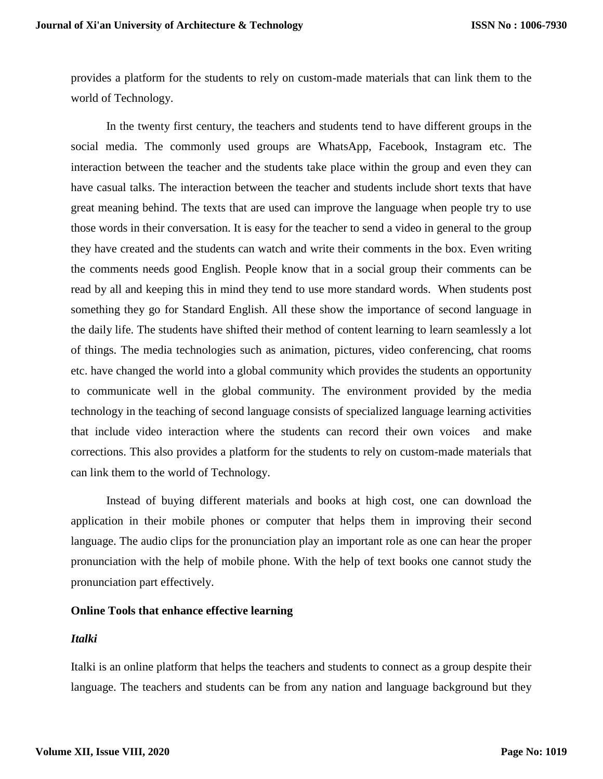provides a platform for the students to rely on custom-made materials that can link them to the world of Technology.

In the twenty first century, the teachers and students tend to have different groups in the social media. The commonly used groups are WhatsApp, Facebook, Instagram etc. The interaction between the teacher and the students take place within the group and even they can have casual talks. The interaction between the teacher and students include short texts that have great meaning behind. The texts that are used can improve the language when people try to use those words in their conversation. It is easy for the teacher to send a video in general to the group they have created and the students can watch and write their comments in the box. Even writing the comments needs good English. People know that in a social group their comments can be read by all and keeping this in mind they tend to use more standard words. When students post something they go for Standard English. All these show the importance of second language in the daily life. The students have shifted their method of content learning to learn seamlessly a lot of things. The media technologies such as animation, pictures, video conferencing, chat rooms etc. have changed the world into a global community which provides the students an opportunity to communicate well in the global community. The environment provided by the media technology in the teaching of second language consists of specialized language learning activities that include video interaction where the students can record their own voices and make corrections. This also provides a platform for the students to rely on custom-made materials that can link them to the world of Technology.

Instead of buying different materials and books at high cost, one can download the application in their mobile phones or computer that helps them in improving their second language. The audio clips for the pronunciation play an important role as one can hear the proper pronunciation with the help of mobile phone. With the help of text books one cannot study the pronunciation part effectively.

# **Online Tools that enhance effective learning**

#### *Italki*

Italki is an online platform that helps the teachers and students to connect as a group despite their language. The teachers and students can be from any nation and language background but they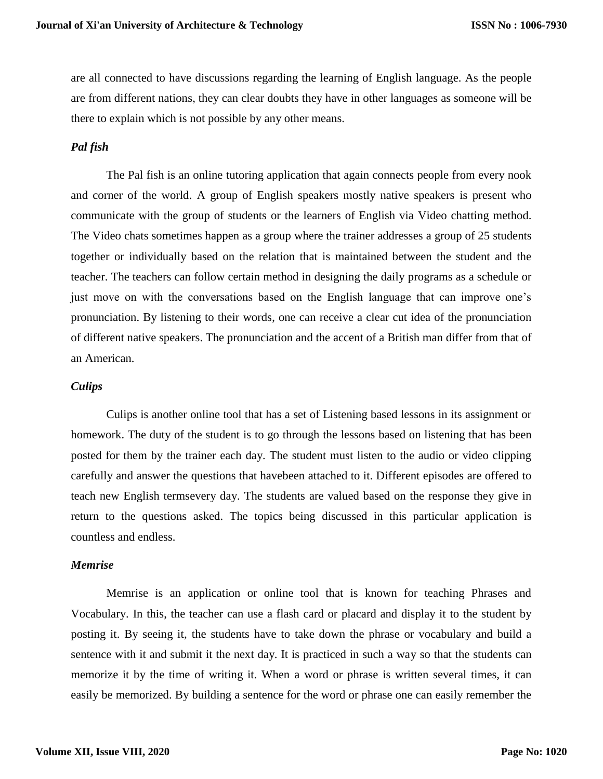are all connected to have discussions regarding the learning of English language. As the people are from different nations, they can clear doubts they have in other languages as someone will be there to explain which is not possible by any other means.

# *Pal fish*

The Pal fish is an online tutoring application that again connects people from every nook and corner of the world. A group of English speakers mostly native speakers is present who communicate with the group of students or the learners of English via Video chatting method. The Video chats sometimes happen as a group where the trainer addresses a group of 25 students together or individually based on the relation that is maintained between the student and the teacher. The teachers can follow certain method in designing the daily programs as a schedule or just move on with the conversations based on the English language that can improve one's pronunciation. By listening to their words, one can receive a clear cut idea of the pronunciation of different native speakers. The pronunciation and the accent of a British man differ from that of an American.

## *Culips*

Culips is another online tool that has a set of Listening based lessons in its assignment or homework. The duty of the student is to go through the lessons based on listening that has been posted for them by the trainer each day. The student must listen to the audio or video clipping carefully and answer the questions that havebeen attached to it. Different episodes are offered to teach new English termsevery day. The students are valued based on the response they give in return to the questions asked. The topics being discussed in this particular application is countless and endless.

#### *Memrise*

Memrise is an application or online tool that is known for teaching Phrases and Vocabulary. In this, the teacher can use a flash card or placard and display it to the student by posting it. By seeing it, the students have to take down the phrase or vocabulary and build a sentence with it and submit it the next day. It is practiced in such a way so that the students can memorize it by the time of writing it. When a word or phrase is written several times, it can easily be memorized. By building a sentence for the word or phrase one can easily remember the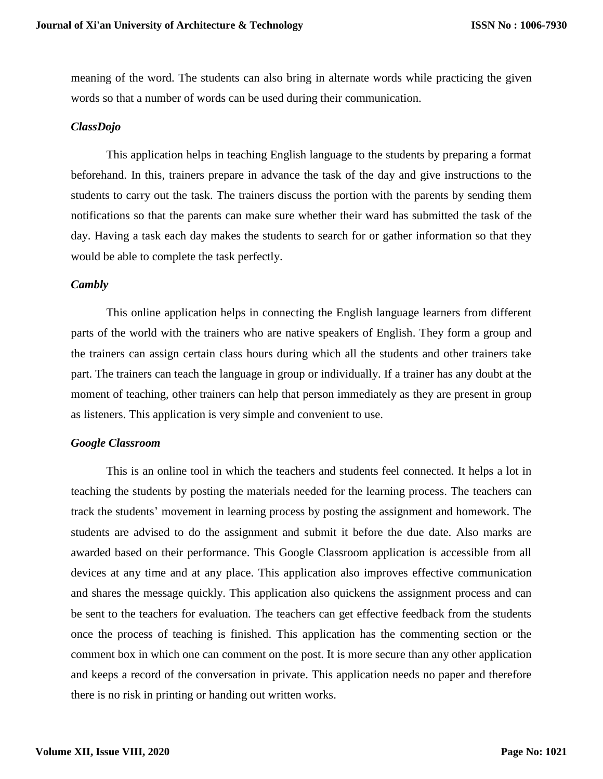meaning of the word. The students can also bring in alternate words while practicing the given words so that a number of words can be used during their communication.

#### *ClassDojo*

This application helps in teaching English language to the students by preparing a format beforehand. In this, trainers prepare in advance the task of the day and give instructions to the students to carry out the task. The trainers discuss the portion with the parents by sending them notifications so that the parents can make sure whether their ward has submitted the task of the day. Having a task each day makes the students to search for or gather information so that they would be able to complete the task perfectly.

#### *Cambly*

This online application helps in connecting the English language learners from different parts of the world with the trainers who are native speakers of English. They form a group and the trainers can assign certain class hours during which all the students and other trainers take part. The trainers can teach the language in group or individually. If a trainer has any doubt at the moment of teaching, other trainers can help that person immediately as they are present in group as listeners. This application is very simple and convenient to use.

# *Google Classroom*

This is an online tool in which the teachers and students feel connected. It helps a lot in teaching the students by posting the materials needed for the learning process. The teachers can track the students' movement in learning process by posting the assignment and homework. The students are advised to do the assignment and submit it before the due date. Also marks are awarded based on their performance. This Google Classroom application is accessible from all devices at any time and at any place. This application also improves effective communication and shares the message quickly. This application also quickens the assignment process and can be sent to the teachers for evaluation. The teachers can get effective feedback from the students once the process of teaching is finished. This application has the commenting section or the comment box in which one can comment on the post. It is more secure than any other application and keeps a record of the conversation in private. This application needs no paper and therefore there is no risk in printing or handing out written works.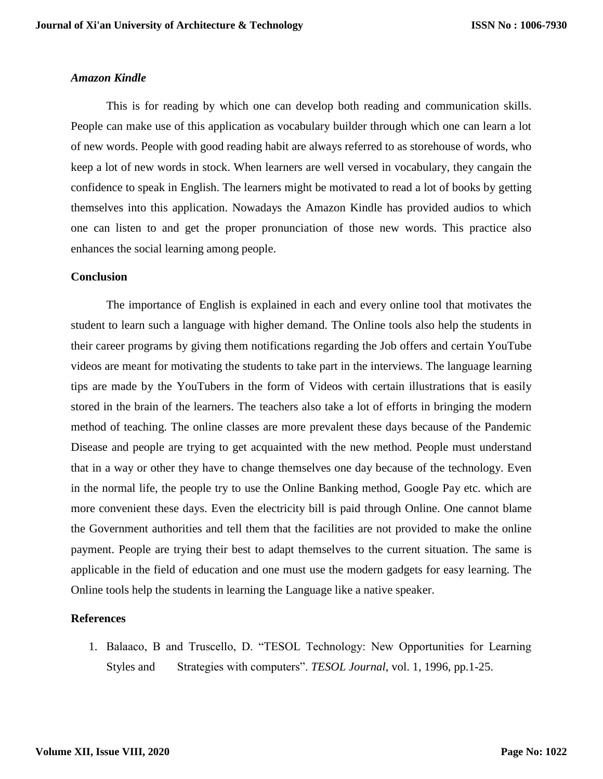# *Amazon Kindle*

This is for reading by which one can develop both reading and communication skills. People can make use of this application as vocabulary builder through which one can learn a lot of new words. People with good reading habit are always referred to as storehouse of words, who keep a lot of new words in stock. When learners are well versed in vocabulary, they cangain the confidence to speak in English. The learners might be motivated to read a lot of books by getting themselves into this application. Nowadays the Amazon Kindle has provided audios to which one can listen to and get the proper pronunciation of those new words. This practice also enhances the social learning among people.

# **Conclusion**

The importance of English is explained in each and every online tool that motivates the student to learn such a language with higher demand. The Online tools also help the students in their career programs by giving them notifications regarding the Job offers and certain YouTube videos are meant for motivating the students to take part in the interviews. The language learning tips are made by the YouTubers in the form of Videos with certain illustrations that is easily stored in the brain of the learners. The teachers also take a lot of efforts in bringing the modern method of teaching. The online classes are more prevalent these days because of the Pandemic Disease and people are trying to get acquainted with the new method. People must understand that in a way or other they have to change themselves one day because of the technology. Even in the normal life, the people try to use the Online Banking method, Google Pay etc. which are more convenient these days. Even the electricity bill is paid through Online. One cannot blame the Government authorities and tell them that the facilities are not provided to make the online payment. People are trying their best to adapt themselves to the current situation. The same is applicable in the field of education and one must use the modern gadgets for easy learning. The Online tools help the students in learning the Language like a native speaker.

# **References**

1. Balaaco, B and Truscello, D. "TESOL Technology: New Opportunities for Learning Styles and Strategies with computers". *TESOL Journal*, vol. 1, 1996, pp.1-25.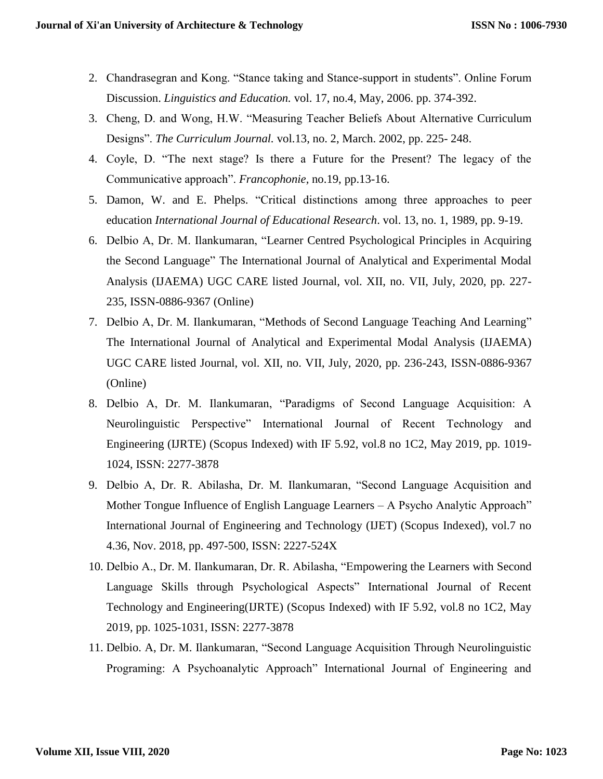- 2. Chandrasegran and Kong. "Stance taking and Stance-support in students". Online Forum Discussion. *Linguistics and Education.* vol. 17, no.4, May, 2006. pp. 374-392.
- 3. Cheng, D. and Wong, H.W. "Measuring Teacher Beliefs About Alternative Curriculum Designs". *The Curriculum Journal.* vol.13, no. 2, March. 2002, pp. 225- 248.
- 4. Coyle, D. "The next stage? Is there a Future for the Present? The legacy of the Communicative approach". *Francophonie,* no.19, pp.13-16.
- 5. Damon, W. and E. Phelps. "Critical distinctions among three approaches to peer education *International Journal of Educational Research*. vol. 13, no. 1, 1989, pp. 9-19.
- 6. Delbio A, Dr. M. Ilankumaran, "Learner Centred Psychological Principles in Acquiring the Second Language" The International Journal of Analytical and Experimental Modal Analysis (IJAEMA) UGC CARE listed Journal, vol. XII, no. VII, July, 2020, pp. 227- 235, ISSN-0886-9367 (Online)
- 7. Delbio A, Dr. M. Ilankumaran, "Methods of Second Language Teaching And Learning" The International Journal of Analytical and Experimental Modal Analysis (IJAEMA) UGC CARE listed Journal, vol. XII, no. VII, July, 2020, pp. 236-243, ISSN-0886-9367 (Online)
- 8. Delbio A, Dr. M. Ilankumaran, "Paradigms of Second Language Acquisition: A Neurolinguistic Perspective" International Journal of Recent Technology and Engineering (IJRTE) (Scopus Indexed) with IF 5.92, vol.8 no 1C2, May 2019, pp. 1019- 1024, ISSN: 2277-3878
- 9. Delbio A, Dr. R. Abilasha, Dr. M. Ilankumaran, "Second Language Acquisition and Mother Tongue Influence of English Language Learners – A Psycho Analytic Approach" International Journal of Engineering and Technology (IJET) (Scopus Indexed), vol.7 no 4.36, Nov. 2018, pp. 497-500, ISSN: 2227-524X
- 10. Delbio A., Dr. M. Ilankumaran, Dr. R. Abilasha, "Empowering the Learners with Second Language Skills through Psychological Aspects" International Journal of Recent Technology and Engineering(IJRTE) (Scopus Indexed) with IF 5.92, vol.8 no 1C2, May 2019, pp. 1025-1031, ISSN: 2277-3878
- 11. Delbio. A, Dr. M. Ilankumaran, "Second Language Acquisition Through Neurolinguistic Programing: A Psychoanalytic Approach" International Journal of Engineering and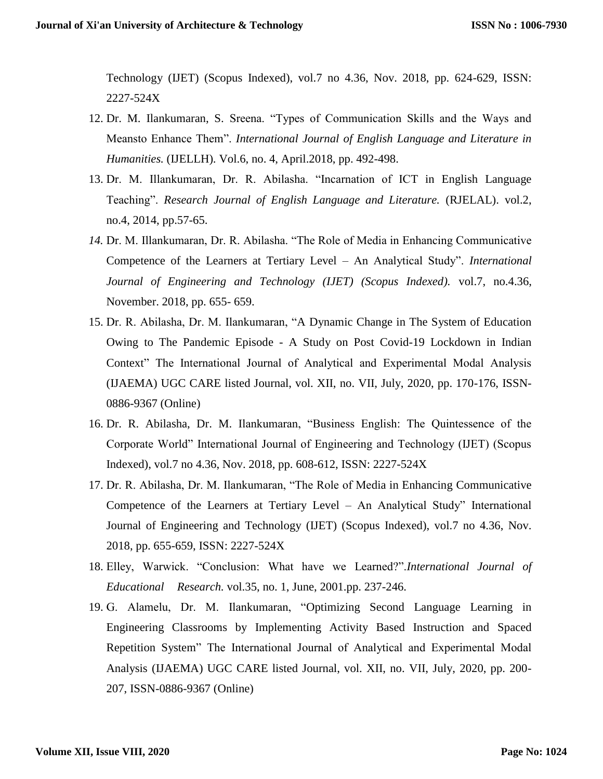Technology (IJET) (Scopus Indexed), vol.7 no 4.36, Nov. 2018, pp. 624-629, ISSN: 2227-524X

- 12. Dr. M. Ilankumaran, S. Sreena. "Types of Communication Skills and the Ways and Meansto Enhance Them". *International Journal of English Language and Literature in Humanities.* (IJELLH). Vol.6, no. 4, April.2018, pp. 492-498.
- 13. Dr. M. Illankumaran, Dr. R. Abilasha. "Incarnation of ICT in English Language Teaching". *Research Journal of English Language and Literature.* (RJELAL). vol.2, no.4, 2014, pp.57-65.
- *14.* Dr. M. Illankumaran, Dr. R. Abilasha. "The Role of Media in Enhancing Communicative Competence of the Learners at Tertiary Level – An Analytical Study". *International Journal of Engineering and Technology (IJET) (Scopus Indexed).* vol.7, no.4.36, November. 2018, pp. 655- 659.
- 15. Dr. R. Abilasha, Dr. M. Ilankumaran, "A Dynamic Change in The System of Education Owing to The Pandemic Episode - A Study on Post Covid-19 Lockdown in Indian Context" The International Journal of Analytical and Experimental Modal Analysis (IJAEMA) UGC CARE listed Journal, vol. XII, no. VII, July, 2020, pp. 170-176, ISSN-0886-9367 (Online)
- 16. Dr. R. Abilasha, Dr. M. Ilankumaran, "Business English: The Quintessence of the Corporate World" International Journal of Engineering and Technology (IJET) (Scopus Indexed), vol.7 no 4.36, Nov. 2018, pp. 608-612, ISSN: 2227-524X
- 17. Dr. R. Abilasha, Dr. M. Ilankumaran, "The Role of Media in Enhancing Communicative Competence of the Learners at Tertiary Level – An Analytical Study" International Journal of Engineering and Technology (IJET) (Scopus Indexed), vol.7 no 4.36, Nov. 2018, pp. 655-659, ISSN: 2227-524X
- 18. Elley, Warwick. "Conclusion: What have we Learned?".*International Journal of Educational Research.* vol.35, no. 1, June, 2001.pp. 237-246.
- 19. G. Alamelu, Dr. M. Ilankumaran, "Optimizing Second Language Learning in Engineering Classrooms by Implementing Activity Based Instruction and Spaced Repetition System" The International Journal of Analytical and Experimental Modal Analysis (IJAEMA) UGC CARE listed Journal, vol. XII, no. VII, July, 2020, pp. 200- 207, ISSN-0886-9367 (Online)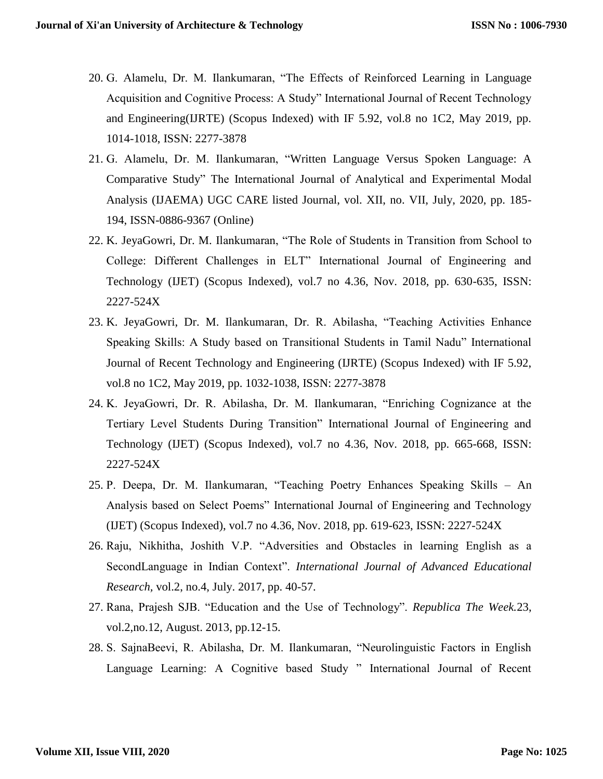- 20. G. Alamelu, Dr. M. Ilankumaran, "The Effects of Reinforced Learning in Language Acquisition and Cognitive Process: A Study" International Journal of Recent Technology and Engineering(IJRTE) (Scopus Indexed) with IF 5.92, vol.8 no 1C2, May 2019, pp. 1014-1018, ISSN: 2277-3878
- 21. G. Alamelu, Dr. M. Ilankumaran, "Written Language Versus Spoken Language: A Comparative Study" The International Journal of Analytical and Experimental Modal Analysis (IJAEMA) UGC CARE listed Journal, vol. XII, no. VII, July, 2020, pp. 185- 194, ISSN-0886-9367 (Online)
- 22. K. JeyaGowri, Dr. M. Ilankumaran, "The Role of Students in Transition from School to College: Different Challenges in ELT" International Journal of Engineering and Technology (IJET) (Scopus Indexed), vol.7 no 4.36, Nov. 2018, pp. 630-635, ISSN: 2227-524X
- 23. K. JeyaGowri, Dr. M. Ilankumaran, Dr. R. Abilasha, "Teaching Activities Enhance Speaking Skills: A Study based on Transitional Students in Tamil Nadu" International Journal of Recent Technology and Engineering (IJRTE) (Scopus Indexed) with IF 5.92, vol.8 no 1C2, May 2019, pp. 1032-1038, ISSN: 2277-3878
- 24. K. JeyaGowri, Dr. R. Abilasha, Dr. M. Ilankumaran, "Enriching Cognizance at the Tertiary Level Students During Transition" International Journal of Engineering and Technology (IJET) (Scopus Indexed), vol.7 no 4.36, Nov. 2018, pp. 665-668, ISSN: 2227-524X
- 25. P. Deepa, Dr. M. Ilankumaran, "Teaching Poetry Enhances Speaking Skills An Analysis based on Select Poems" International Journal of Engineering and Technology (IJET) (Scopus Indexed), vol.7 no 4.36, Nov. 2018, pp. 619-623, ISSN: 2227-524X
- 26. Raju, Nikhitha, Joshith V.P. "Adversities and Obstacles in learning English as a SecondLanguage in Indian Context". *International Journal of Advanced Educational Research,* vol.2, no.4, July. 2017, pp. 40-57.
- 27. Rana, Prajesh SJB. "Education and the Use of Technology". *Republica The Week.*23, vol.2,no.12, August. 2013, pp.12-15.
- 28. S. SajnaBeevi, R. Abilasha, Dr. M. Ilankumaran, "Neurolinguistic Factors in English Language Learning: A Cognitive based Study " International Journal of Recent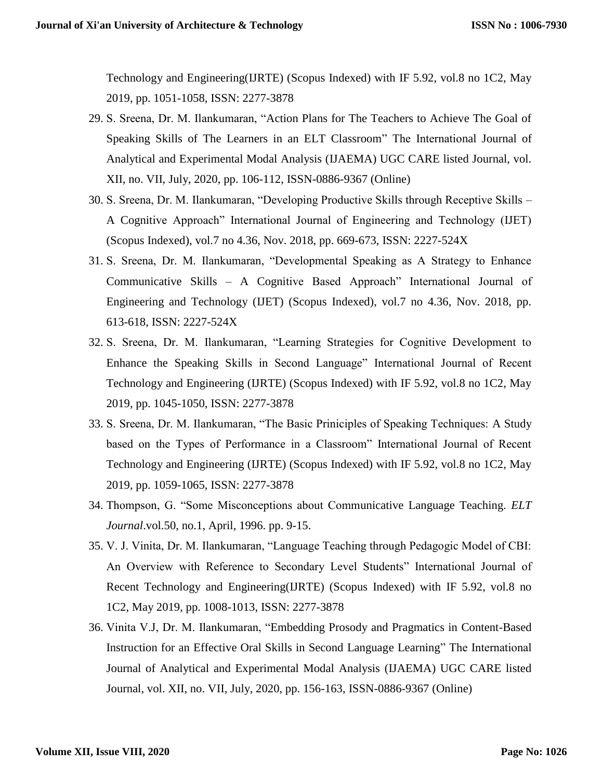Technology and Engineering(IJRTE) (Scopus Indexed) with IF 5.92, vol.8 no 1C2, May 2019, pp. 1051-1058, ISSN: 2277-3878

- 29. S. Sreena, Dr. M. Ilankumaran, "Action Plans for The Teachers to Achieve The Goal of Speaking Skills of The Learners in an ELT Classroom" The International Journal of Analytical and Experimental Modal Analysis (IJAEMA) UGC CARE listed Journal, vol. XII, no. VII, July, 2020, pp. 106-112, ISSN-0886-9367 (Online)
- 30. S. Sreena, Dr. M. Ilankumaran, "Developing Productive Skills through Receptive Skills A Cognitive Approach" International Journal of Engineering and Technology (IJET) (Scopus Indexed), vol.7 no 4.36, Nov. 2018, pp. 669-673, ISSN: 2227-524X
- 31. S. Sreena, Dr. M. Ilankumaran, "Developmental Speaking as A Strategy to Enhance Communicative Skills – A Cognitive Based Approach" International Journal of Engineering and Technology (IJET) (Scopus Indexed), vol.7 no 4.36, Nov. 2018, pp. 613-618, ISSN: 2227-524X
- 32. S. Sreena, Dr. M. Ilankumaran, "Learning Strategies for Cognitive Development to Enhance the Speaking Skills in Second Language" International Journal of Recent Technology and Engineering (IJRTE) (Scopus Indexed) with IF 5.92, vol.8 no 1C2, May 2019, pp. 1045-1050, ISSN: 2277-3878
- 33. S. Sreena, Dr. M. Ilankumaran, "The Basic Priniciples of Speaking Techniques: A Study based on the Types of Performance in a Classroom" International Journal of Recent Technology and Engineering (IJRTE) (Scopus Indexed) with IF 5.92, vol.8 no 1C2, May 2019, pp. 1059-1065, ISSN: 2277-3878
- 34. Thompson, G. "Some Misconceptions about Communicative Language Teaching. *ELT Journal*.vol.50, no.1, April, 1996. pp. 9-15.
- 35. V. J. Vinita, Dr. M. Ilankumaran, "Language Teaching through Pedagogic Model of CBI: An Overview with Reference to Secondary Level Students" International Journal of Recent Technology and Engineering(IJRTE) (Scopus Indexed) with IF 5.92, vol.8 no 1C2, May 2019, pp. 1008-1013, ISSN: 2277-3878
- 36. Vinita V.J, Dr. M. Ilankumaran, "Embedding Prosody and Pragmatics in Content-Based Instruction for an Effective Oral Skills in Second Language Learning" The International Journal of Analytical and Experimental Modal Analysis (IJAEMA) UGC CARE listed Journal, vol. XII, no. VII, July, 2020, pp. 156-163, ISSN-0886-9367 (Online)